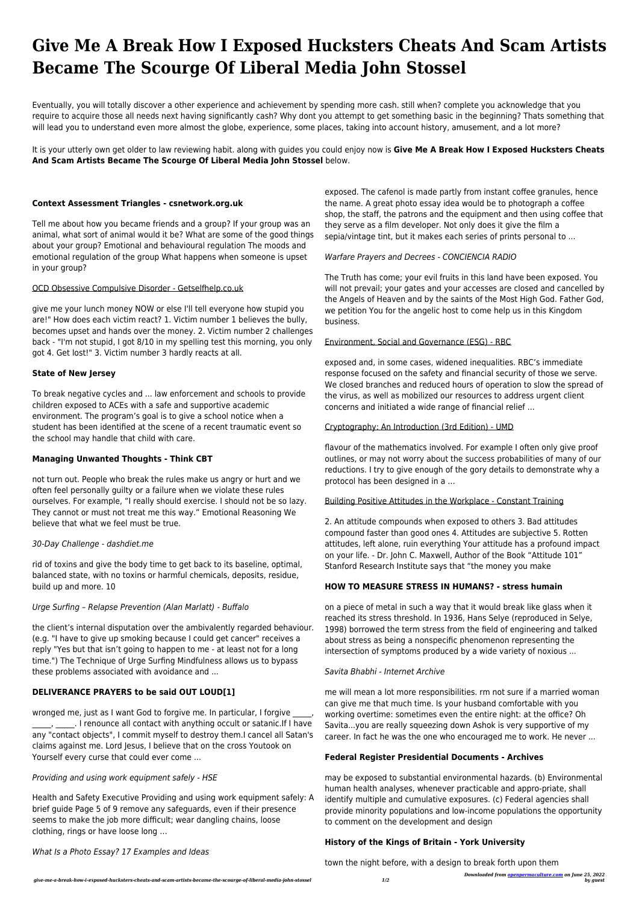Eventually, you will totally discover a other experience and achievement by spending more cash. still when? complete you acknowledge that you require to acquire those all needs next having significantly cash? Why dont you attempt to get something basic in the beginning? Thats something that will lead you to understand even more almost the globe, experience, some places, taking into account history, amusement, and a lot more?

# **Give Me A Break How I Exposed Hucksters Cheats And Scam Artists Became The Scourge Of Liberal Media John Stossel**

It is your utterly own get older to law reviewing habit. along with guides you could enjoy now is **Give Me A Break How I Exposed Hucksters Cheats And Scam Artists Became The Scourge Of Liberal Media John Stossel** below.

# **Context Assessment Triangles - csnetwork.org.uk**

Tell me about how you became friends and a group? If your group was an animal, what sort of animal would it be? What are some of the good things about your group? Emotional and behavioural regulation The moods and emotional regulation of the group What happens when someone is upset in your group?

#### OCD Obsessive Compulsive Disorder - Getselfhelp.co.uk

give me your lunch money NOW or else I'll tell everyone how stupid you are!" How does each victim react? 1. Victim number 1 believes the bully, becomes upset and hands over the money. 2. Victim number 2 challenges back - "I'm not stupid, I got 8/10 in my spelling test this morning, you only got 4. Get lost!" 3. Victim number 3 hardly reacts at all.

#### **State of New Jersey**

To break negative cycles and ... law enforcement and schools to provide children exposed to ACEs with a safe and supportive academic environment. The program's goal is to give a school notice when a student has been identified at the scene of a recent traumatic event so the school may handle that child with care.

# **Managing Unwanted Thoughts - Think CBT**

not turn out. People who break the rules make us angry or hurt and we often feel personally guilty or a failure when we violate these rules ourselves. For example, "I really should exercise. I should not be so lazy. They cannot or must not treat me this way." Emotional Reasoning We believe that what we feel must be true.

#### 30-Day Challenge - dashdiet.me

rid of toxins and give the body time to get back to its baseline, optimal, balanced state, with no toxins or harmful chemicals, deposits, residue, build up and more. 10

#### Urge Surfing – Relapse Prevention (Alan Marlatt) - Buffalo

the client's internal disputation over the ambivalently regarded behaviour. (e.g. "I have to give up smoking because I could get cancer" receives a reply "Yes but that isn't going to happen to me - at least not for a long time.") The Technique of Urge Surfing Mindfulness allows us to bypass these problems associated with avoidance and ...

## **DELIVERANCE PRAYERS to be said OUT LOUD[1]**

wronged me, just as I want God to forgive me. In particular, I forgive \_\_\_\_\_, \_\_\_\_\_. I renounce all contact with anything occult or satanic.If I have any "contact objects", I commit myself to destroy them.I cancel all Satan's claims against me. Lord Jesus, I believe that on the cross Youtook on Yourself every curse that could ever come ...

Providing and using work equipment safely - HSE

Health and Safety Executive Providing and using work equipment safely: A brief guide Page 5 of 9 remove any safeguards, even if their presence seems to make the job more difficult; wear dangling chains, loose clothing, rings or have loose long …

What Is a Photo Essay? 17 Examples and Ideas

exposed. The cafenol is made partly from instant coffee granules, hence the name. A great photo essay idea would be to photograph a coffee shop, the staff, the patrons and the equipment and then using coffee that they serve as a film developer. Not only does it give the film a sepia/vintage tint, but it makes each series of prints personal to ...

## Warfare Prayers and Decrees - CONCIENCIA RADIO

The Truth has come; your evil fruits in this land have been exposed. You will not prevail; your gates and your accesses are closed and cancelled by the Angels of Heaven and by the saints of the Most High God. Father God, we petition You for the angelic host to come help us in this Kingdom business.

#### Environment, Social and Governance (ESG) - RBC

exposed and, in some cases, widened inequalities. RBC's immediate response focused on the safety and financial security of those we serve. We closed branches and reduced hours of operation to slow the spread of the virus, as well as mobilized our resources to address urgent client concerns and initiated a wide range of financial relief ...

#### Cryptography: An Introduction (3rd Edition) - UMD

flavour of the mathematics involved. For example I often only give proof outlines, or may not worry about the success probabilities of many of our reductions. I try to give enough of the gory details to demonstrate why a protocol has been designed in a …

# Building Positive Attitudes in the Workplace - Constant Training

2. An attitude compounds when exposed to others 3. Bad attitudes compound faster than good ones 4. Attitudes are subjective 5. Rotten attitudes, left alone, ruin everything Your attitude has a profound impact on your life. - Dr. John C. Maxwell, Author of the Book "Attitude 101" Stanford Research Institute says that "the money you make

#### **HOW TO MEASURE STRESS IN HUMANS? - stress humain**

on a piece of metal in such a way that it would break like glass when it reached its stress threshold. In 1936, Hans Selye (reproduced in Selye, 1998) borrowed the term stress from the field of engineering and talked about stress as being a nonspecific phenomenon representing the intersection of symptoms produced by a wide variety of noxious ...

# Savita Bhabhi - Internet Archive

me will mean a lot more responsibilities. rm not sure if a married woman can give me that much time. Is your husband comfortable with you working overtime: sometimes even the entire night: at the office? Oh Savita...you are really squeezing down Ashok is very supportive of my career. In fact he was the one who encouraged me to work. He never ...

#### **Federal Register Presidential Documents - Archives**

may be exposed to substantial environmental hazards. (b) Environmental human health analyses, whenever practicable and appro-priate, shall identify multiple and cumulative exposures. (c) Federal agencies shall provide minority populations and low-income populations the opportunity to comment on the development and design

#### **History of the Kings of Britain - York University**

town the night before, with a design to break forth upon them